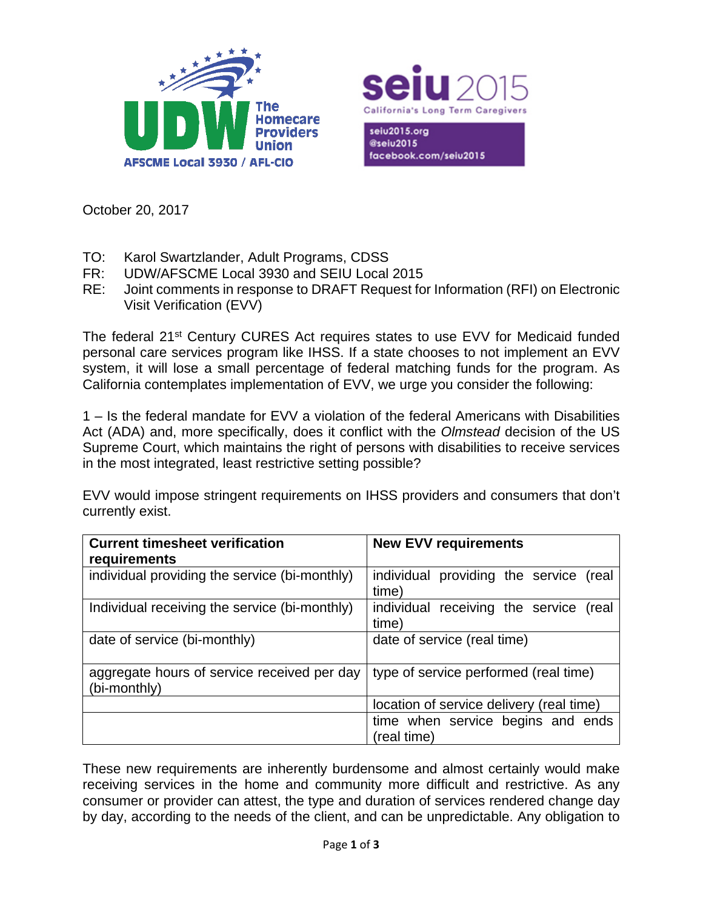



seiu2015.org @seiu2015 facebook.com/seiu2015

October 20, 2017

- TO: Karol Swartzlander, Adult Programs, CDSS
- FR: UDW/AFSCME Local 3930 and SEIU Local 2015
- RE: Joint comments in response to DRAFT Request for Information (RFI) on Electronic Visit Verification (EVV)

The federal 21<sup>st</sup> Century CURES Act requires states to use EVV for Medicaid funded personal care services program like IHSS. If a state chooses to not implement an EVV system, it will lose a small percentage of federal matching funds for the program. As California contemplates implementation of EVV, we urge you consider the following:

1 – Is the federal mandate for EVV a violation of the federal Americans with Disabilities Act (ADA) and, more specifically, does it conflict with the *Olmstead* decision of the US Supreme Court, which maintains the right of persons with disabilities to receive services in the most integrated, least restrictive setting possible?

EVV would impose stringent requirements on IHSS providers and consumers that don't currently exist.

| <b>Current timesheet verification</b><br>requirements       | <b>New EVV requirements</b>                        |
|-------------------------------------------------------------|----------------------------------------------------|
| individual providing the service (bi-monthly)               | individual providing the service (real<br>time)    |
| Individual receiving the service (bi-monthly)               | individual receiving the service<br>(real<br>time) |
| date of service (bi-monthly)                                | date of service (real time)                        |
| aggregate hours of service received per day<br>(bi-monthly) | type of service performed (real time)              |
|                                                             | location of service delivery (real time)           |
|                                                             | time when service begins and ends<br>(real time)   |

These new requirements are inherently burdensome and almost certainly would make receiving services in the home and community more difficult and restrictive. As any consumer or provider can attest, the type and duration of services rendered change day by day, according to the needs of the client, and can be unpredictable. Any obligation to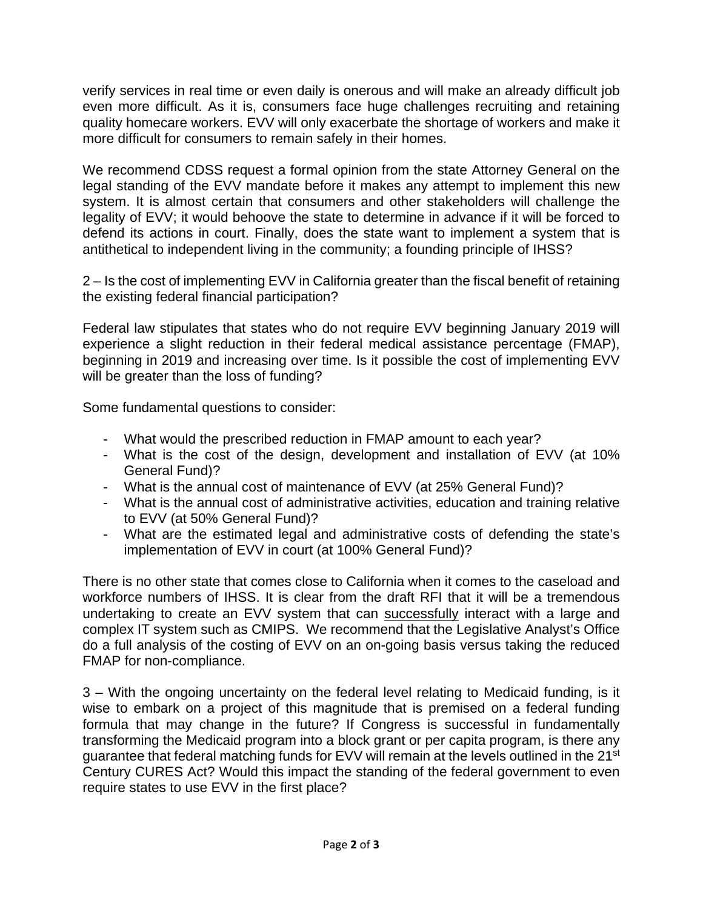verify services in real time or even daily is onerous and will make an already difficult job even more difficult. As it is, consumers face huge challenges recruiting and retaining quality homecare workers. EVV will only exacerbate the shortage of workers and make it more difficult for consumers to remain safely in their homes.

We recommend CDSS request a formal opinion from the state Attorney General on the legal standing of the EVV mandate before it makes any attempt to implement this new system. It is almost certain that consumers and other stakeholders will challenge the legality of EVV; it would behoove the state to determine in advance if it will be forced to defend its actions in court. Finally, does the state want to implement a system that is antithetical to independent living in the community; a founding principle of IHSS?

2 – Is the cost of implementing EVV in California greater than the fiscal benefit of retaining the existing federal financial participation?

Federal law stipulates that states who do not require EVV beginning January 2019 will experience a slight reduction in their federal medical assistance percentage (FMAP), beginning in 2019 and increasing over time. Is it possible the cost of implementing EVV will be greater than the loss of funding?

Some fundamental questions to consider:

- What would the prescribed reduction in FMAP amount to each year?
- What is the cost of the design, development and installation of EVV (at 10% General Fund)?
- What is the annual cost of maintenance of EVV (at 25% General Fund)?
- What is the annual cost of administrative activities, education and training relative to EVV (at 50% General Fund)?
- What are the estimated legal and administrative costs of defending the state's implementation of EVV in court (at 100% General Fund)?

There is no other state that comes close to California when it comes to the caseload and workforce numbers of IHSS. It is clear from the draft RFI that it will be a tremendous undertaking to create an EVV system that can successfully interact with a large and complex IT system such as CMIPS. We recommend that the Legislative Analyst's Office do a full analysis of the costing of EVV on an on-going basis versus taking the reduced FMAP for non-compliance.

3 – With the ongoing uncertainty on the federal level relating to Medicaid funding, is it wise to embark on a project of this magnitude that is premised on a federal funding formula that may change in the future? If Congress is successful in fundamentally transforming the Medicaid program into a block grant or per capita program, is there any guarantee that federal matching funds for EVV will remain at the levels outlined in the 21<sup>st</sup> Century CURES Act? Would this impact the standing of the federal government to even require states to use EVV in the first place?